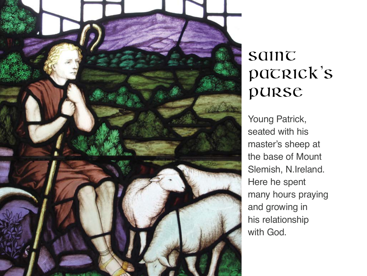

## saint patrick's Purse

Young Patrick, seated with his master's sheep at the base of Mount Slemish, N.Ireland. Here he spent many hours praying and growing in his relationship with God.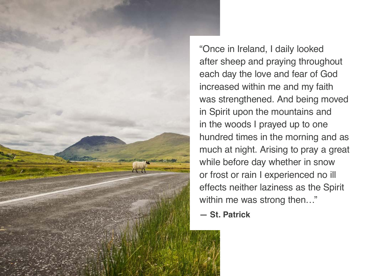

"Once in Ireland, I daily looked after sheep and praying throughout each day the love and fear of God increased within me and my faith was strengthened. And being moved in Spirit upon the mountains and in the woods I prayed up to one hundred times in the morning and as much at night. Arising to pray a great while before day whether in snow or frost or rain I experienced no ill effects neither laziness as the Spirit within me was strong then..."

**— St. Patrick**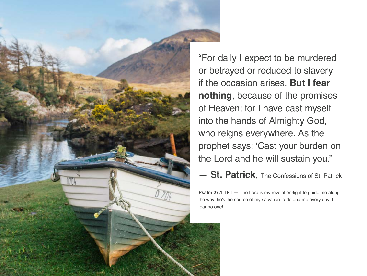

"For daily I expect to be murdered or betrayed or reduced to slavery if the occasion arises. **But I fear nothing**, because of the promises of Heaven; for I have cast myself into the hands of Almighty God, who reigns everywhere. As the prophet says: 'Cast your burden on the Lord and he will sustain you."

**— St. Patrick**, The Confessions of St. Patrick

**Psalm 27:1 TPT** – The Lord is my revelation-light to guide me along the way; he's the source of my salvation to defend me every day. I fear no one!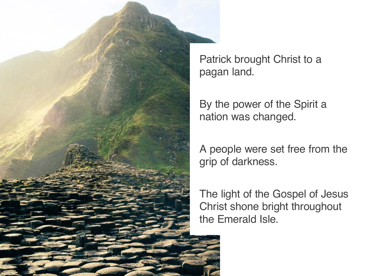

Patrick brought Christ to a pagan land.

By the power of the Spirit a nation was changed.

A people were set free from the grip of darkness.

The light of the Gospel of Jesus Christ shone bright throughout the Emerald Isle.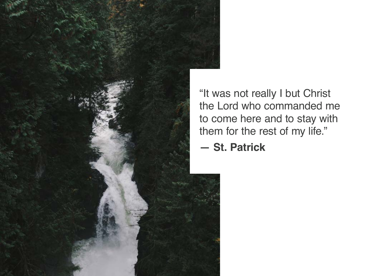

"It was not really I but Christ the Lord who commanded me to come here and to stay with them for the rest of my life."

**— St. Patrick**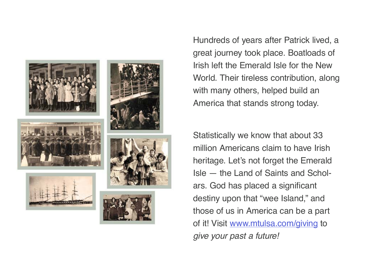

Hundreds of years after Patrick lived, a great journey took place. Boatloads of Irish left the Emerald Isle for the New World. Their tireless contribution, along with many others, helped build an America that stands strong today.

Statistically we know that about 33 million Americans claim to have Irish heritage. Let's not forget the Emerald Isle — the Land of Saints and Scholars. God has placed a significant destiny upon that "wee Island," and those of us in America can be a part of it! Visit [www.mtulsa.com/giving](http://www.mtulsa.com/giving) to *give your past a future!*